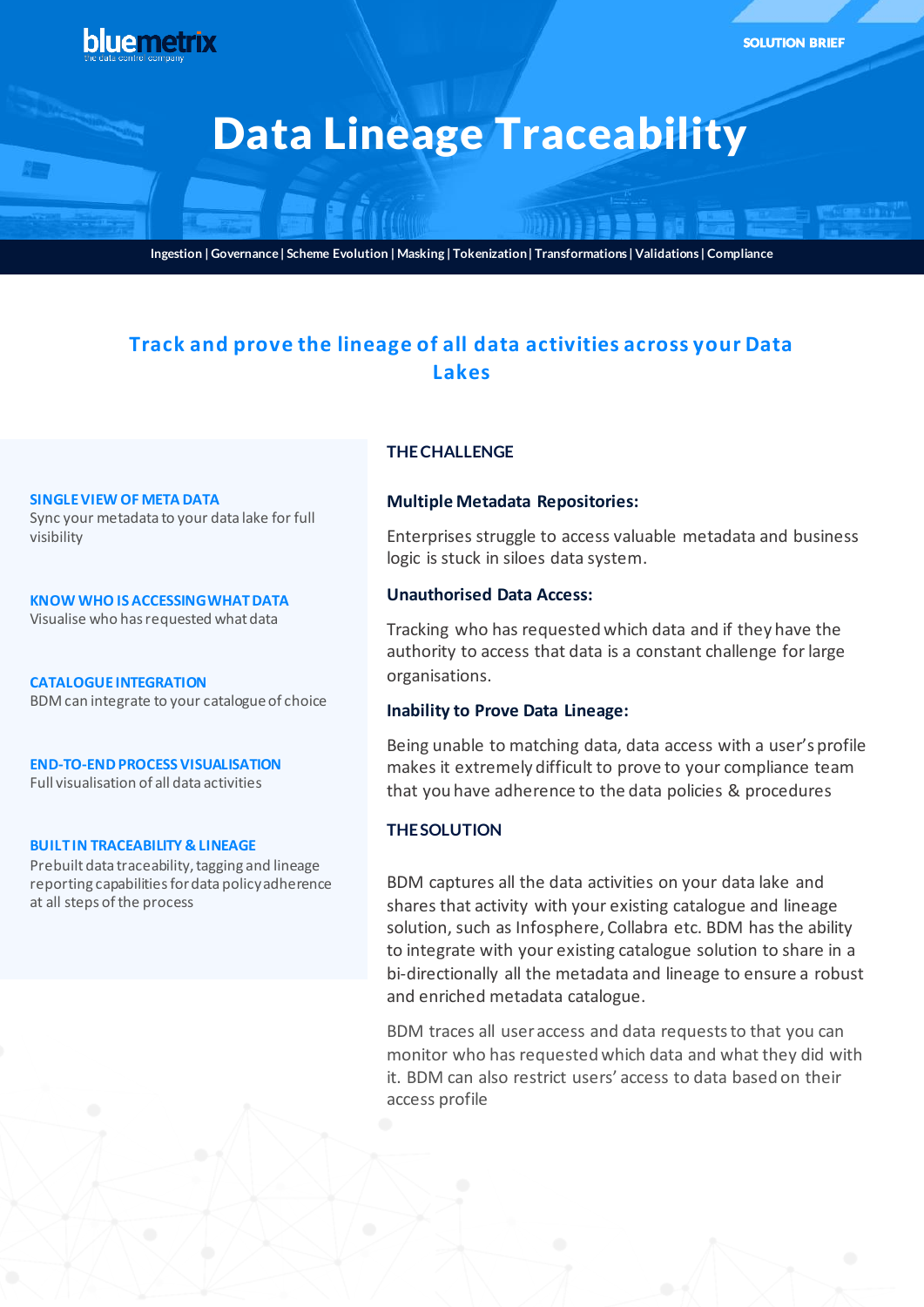

**Ingestion | Governance | Scheme Evolution | Masking | Tokenization | Transformations | Validations | Compliance**

# **Track and prove the lineage of all data activities across your Data Lakes**

#### **SINGLE VIEW OF META DATA**

Sync your metadata to your data lake for full visibility

**KNOW WHO IS ACCESSING WHAT DATA** Visualise who has requested what data

**CATALOGUE INTEGRATION** BDM can integrate to your catalogue of choice

**END-TO-END PROCESS VISUALISATION**

Full visualisation of all data activities

#### **BUILT IN TRACEABILITY & LINEAGE**

Prebuilt data traceability, tagging and lineage reporting capabilities for data policy adherence at all steps of the process

# **THE CHALLENGE**

## **Multiple Metadata Repositories:**

Enterprises struggle to access valuable metadata and business logic is stuck in siloes data system.

# **Unauthorised Data Access:**

Tracking who has requested which data and if they have the authority to access that data is a constant challenge for large organisations.

## **Inability to Prove Data Lineage:**

Being unable to matching data, data access with a user's profile makes it extremely difficult to prove to your compliance team that you have adherence to the data policies & procedures

## **THE SOLUTION**

BDM captures all the data activities on your data lake and shares that activity with your existing catalogue and lineage solution, such as Infosphere, Collabra etc. BDM has the ability to integrate with your existing catalogue solution to share in a bi-directionally all the metadata and lineage to ensure a robust and enriched metadata catalogue.

BDM traces all user access and data requests to that you can monitor who has requested which data and what they did with it. BDM can also restrict users' access to data based on their access profile